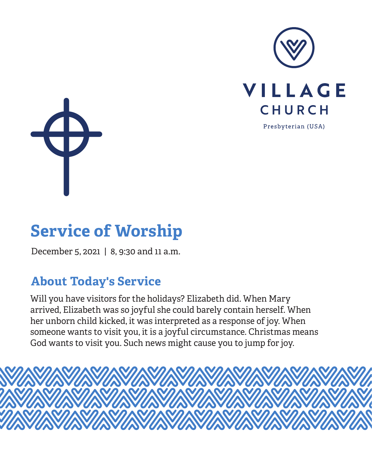



# **Service of Worship**

December 5, 2021 | 8, 9:30 and 11 a.m.

## **About Today's Service**

Will you have visitors for the holidays? Elizabeth did. When Mary arrived, Elizabeth was so joyful she could barely contain herself. When her unborn child kicked, it was interpreted as a response of joy. When someone wants to visit you, it is a joyful circumstance. Christmas means God wants to visit you. Such news might cause you to jump for joy.

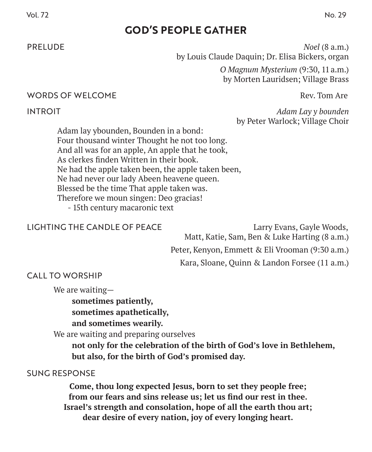## **GOD'S PEOPLE GATHER**

PRELUDE *Noel* (8 a.m.) by Louis Claude Daquin; Dr. Elisa Bickers, organ

> *O Magnum Mysterium* (9:30, 11 a.m.) by Morten Lauridsen; Village Brass

#### WORDS OF WELCOME REV. TOM A THE REV. TOM A THE REV. TOM A THE REV. TOM A THE REV. TOM A THE REV. TOM A THE REV. TOM A THE REV. TOM A THE REV. TOM A THE REV. TOM A THE REV. TOM A THE REV. TOM A THE REV. TOM A THE REV. TOM A

INTROIT *Adam Lay y bounden*  by Peter Warlock; Village Choir

Adam lay ybounden, Bounden in a bond: Four thousand winter Thought he not too long. And all was for an apple, An apple that he took, As clerkes finden Written in their book. Ne had the apple taken been, the apple taken been, Ne had never our lady Abeen heavene queen. Blessed be the time That apple taken was. Therefore we moun singen: Deo gracias! - 15th century macaronic text

#### LIGHTING THE CANDLE OF PEACE Larry Evans, Gayle Woods,

Matt, Katie, Sam, Ben & Luke Harting (8 a.m.) Peter, Kenyon, Emmett & Eli Vrooman (9:30 a.m.) Kara, Sloane, Quinn & Landon Forsee (11 a.m.)

## CALL TO WORSHIP

We are waiting—

**sometimes patiently, sometimes apathetically,**

**and sometimes wearily.**

We are waiting and preparing ourselves

**not only for the celebration of the birth of God's love in Bethlehem, but also, for the birth of God's promised day.**

#### SUNG RESPONSE

**Come, thou long expected Jesus, born to set they people free; from our fears and sins release us; let us find our rest in thee. Israel's strength and consolation, hope of all the earth thou art; dear desire of every nation, joy of every longing heart.**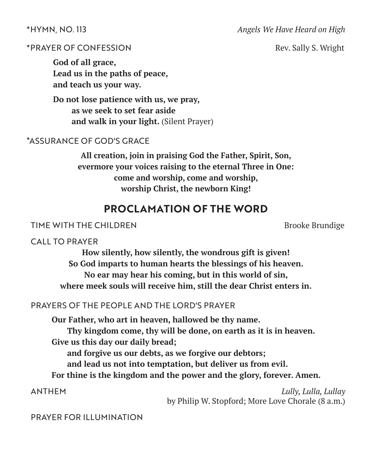#### \*HYMN, NO. 113 *Angels We Have Heard on High*

#### \*PRAYER OF CONFESSION Rev. Sally S. Wright

**God of all grace, Lead us in the paths of peace, and teach us your way.**

**Do not lose patience with us, we pray, as we seek to set fear aside and walk in your light.** (Silent Prayer)

#### \*ASSURANCE OF GOD'S GRACE

**All creation, join in praising God the Father, Spirit, Son, evermore your voices raising to the eternal Three in One: come and worship, come and worship, worship Christ, the newborn King!**

## **PROCLAMATION OF THE WORD**

#### TIME WITH THE CHILDREN BROOKE Brundige

#### CALL TO PRAYER

**How silently, how silently, the wondrous gift is given! So God imparts to human hearts the blessings of his heaven. No ear may hear his coming, but in this world of sin, where meek souls will receive him, still the dear Christ enters in.**

#### PRAYERS OF THE PEOPLE AND THE LORD'S PRAYER

**Our Father, who art in heaven, hallowed be thy name. Thy kingdom come, thy will be done, on earth as it is in heaven. Give us this day our daily bread;**

**and forgive us our debts, as we forgive our debtors;**

**and lead us not into temptation, but deliver us from evil.**

**For thine is the kingdom and the power and the glory, forever. Amen.**

 ANTHEM *Lully, Lulla, Lullay* by Philip W. Stopford; More Love Chorale (8 a.m.)

PRAYER FOR ILLUMINATION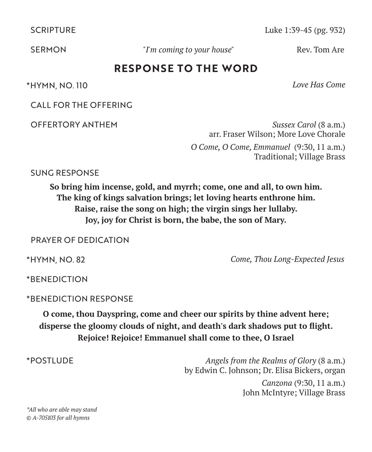SCRIPTURE Luke 1:39-45 (pg. 932)

**SERMON** *I'm coming to your house*" Rev. Tom Are

## **RESPONSE TO THE WORD**

\*HYMN, NO. 110 *Love Has Come*

CALL FOR THE OFFERING

 OFFERTORY ANTHEM *Sussex Carol* (8 a.m.) arr. Fraser Wilson; More Love Chorale *O Come, O Come, Emmanuel* (9:30, 11 a.m.) Traditional; Village Brass

SUNG RESPONSE

**So bring him incense, gold, and myrrh; come, one and all, to own him. The king of kings salvation brings; let loving hearts enthrone him. Raise, raise the song on high; the virgin sings her lullaby. Joy, joy for Christ is born, the babe, the son of Mary.**

PRAYER OF DEDICATION

\*HYMN, NO. 82 *Come, Thou Long-Expected Jesus*

\*BENEDICTION

\*BENEDICTION RESPONSE

**O come, thou Dayspring, come and cheer our spirits by thine advent here; disperse the gloomy clouds of night, and death's dark shadows put to flight. Rejoice! Rejoice! Emmanuel shall come to thee, O Israel**

\*POSTLUDE *Angels from the Realms of Glory* (8 a.m.) by Edwin C. Johnson; Dr. Elisa Bickers, organ *Canzona* (9:30, 11 a.m.)

John McIntyre; Village Brass

*\*All who are able may stand © A-705103 for all hymns*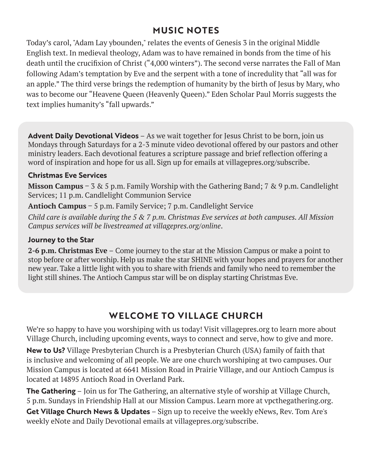## **MUSIC NOTES**

Today's carol, "Adam Lay ybounden," relates the events of Genesis 3 in the original Middle English text. In medieval theology, Adam was to have remained in bonds from the time of his death until the crucifixion of Christ ("4,000 winters"). The second verse narrates the Fall of Man following Adam's temptation by Eve and the serpent with a tone of incredulity that "all was for an apple." The third verse brings the redemption of humanity by the birth of Jesus by Mary, who was to become our "Heavene Queen (Heavenly Queen)." Eden Scholar Paul Morris suggests the text implies humanity's "fall upwards."

**Advent Daily Devotional Videos** – As we wait together for Jesus Christ to be born, join us Mondays through Saturdays for a 2-3 minute video devotional offered by our pastors and other ministry leaders. Each devotional features a scripture passage and brief reflection offering a word of inspiration and hope for us all. Sign up for emails at villagepres.org/subscribe.

#### **Christmas Eve Services**

**Misson Campus** – 3 & 5 p.m. Family Worship with the Gathering Band; 7 & 9 p.m. Candlelight Services; 11 p.m. Candlelight Communion Service

**Antioch Campus** – 5 p.m. Family Service; 7 p.m. Candlelight Service

*Child care is available during the 5 & 7 p.m. Christmas Eve services at both campuses. All Mission Campus services will be livestreamed at villagepres.org/online*.

#### **Journey to the Star**

**2-6 p.m. Christmas Eve** – Come journey to the star at the Mission Campus or make a point to stop before or after worship. Help us make the star SHINE with your hopes and prayers for another new year. Take a little light with you to share with friends and family who need to remember the light still shines. The Antioch Campus star will be on display starting Christmas Eve.

## **WELCOME TO VILLAGE CHURCH**

We're so happy to have you worshiping with us today! Visit villagepres.org to learn more about Village Church, including upcoming events, ways to connect and serve, how to give and more.

**New to Us?** Village Presbyterian Church is a Presbyterian Church (USA) family of faith that is inclusive and welcoming of all people. We are one church worshiping at two campuses. Our Mission Campus is located at 6641 Mission Road in Prairie Village, and our Antioch Campus is located at 14895 Antioch Road in Overland Park.

**The Gathering** – Join us for The Gathering, an alternative style of worship at Village Church, 5 p.m. Sundays in Friendship Hall at our Mission Campus. Learn more at vpcthegathering.org.

**Get Village Church News & Updates** – Sign up to receive the weekly eNews, Rev. Tom Are's weekly eNote and Daily Devotional emails at villagepres.org/subscribe.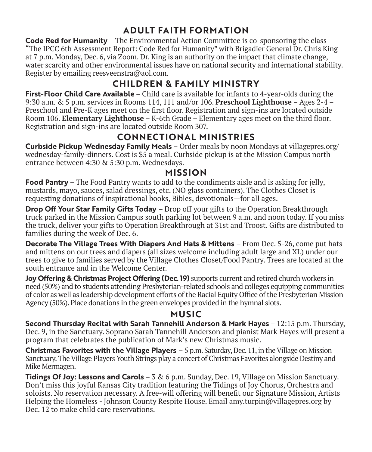## **ADULT FAITH FORMATION**

**Code Red for Humanity** – The Environmental Action Committee is co-sponsoring the class "The IPCC 6th Assessment Report: Code Red for Humanity" with Brigadier General Dr. Chris King at 7 p.m. Monday, Dec. 6, via Zoom. Dr. King is an authority on the impact that climate change, water scarcity and other environmental issues have on national security and international stability. Register by emailing reesveenstra@aol.com.

## **CHILDREN & FAMILY MINISTRY**

**First-Floor Child Care Available** – Child care is available for infants to 4-year-olds during the 9:30 a.m. & 5 p.m. services in Rooms 114, 111 and/or 106. **Preschool Lighthouse** – Ages 2-4 – Preschool and Pre-K ages meet on the first floor. Registration and sign-ins are located outside Room 106. **Elementary Lighthouse** – K-6th Grade – Elementary ages meet on the third floor. Registration and sign-ins are located outside Room 307.

## **CONNECTIONAL MINISTRIES**

**Curbside Pickup Wednesday Family Meals** – Order meals by noon Mondays at villagepres.org/ wednesday-family-dinners. Cost is \$5 a meal. Curbside pickup is at the Mission Campus north entrance between 4:30 & 5:30 p.m. Wednesdays.

### **MISSION**

**Food Pantry** – The Food Pantry wants to add to the condiments aisle and is asking for jelly, mustards, mayo, sauces, salad dressings, etc. (NO glass containers). The Clothes Closet is requesting donations of inspirational books, Bibles, devotionals—for all ages.

**Drop Off Your Star Family Gifts Today** – Drop off your gifts to the Operation Breakthrough truck parked in the Mission Campus south parking lot between 9 a.m. and noon today. If you miss the truck, deliver your gifts to Operation Breakthrough at 31st and Troost. Gifts are distributed to families during the week of Dec. 6.

**Decorate The Village Trees With Diapers And Hats & Mittens** – From Dec. 5-26, come put hats and mittens on our trees and diapers (all sizes welcome including adult large and XL) under our trees to give to families served by the Village Clothes Closet/Food Pantry. Trees are located at the south entrance and in the Welcome Center.

**Joy Offering & Christmas Project Offering (Dec. 19)** supports current and retired church workers in need (50%) and to students attending Presbyterian-related schools and colleges equipping communities of color as well as leadership development efforts of the Racial Equity Office of the Presbyterian Mission Agency (50%). Place donations in the green envelopes provided in the hymnal slots.

### **MUSIC**

**Second Thursday Recital with Sarah Tannehill Anderson & Mark Hayes** – 12:15 p.m. Thursday, Dec. 9, in the Sanctuary. Soprano Sarah Tannehill Anderson and pianist Mark Hayes will present a program that celebrates the publication of Mark's new Christmas music.

**Christmas Favorites with the Village Players** – 5 p.m. Saturday, Dec. 11, in the Village on Mission Sanctuary. The Village Players Youth Strings play a concert of Christmas Favorites alongside Destiny and Mike Mermagen.

**Tidings Of Joy: Lessons and Carols** – 3 & 6 p.m. Sunday, Dec. 19, Village on Mission Sanctuary. Don't miss this joyful Kansas City tradition featuring the Tidings of Joy Chorus, Orchestra and soloists. No reservation necessary. A free-will offering will benefit our Signature Mission, Artists Helping the Homeless - Johnson County Respite House. Email amy.turpin@villagepres.org by Dec. 12 to make child care reservations.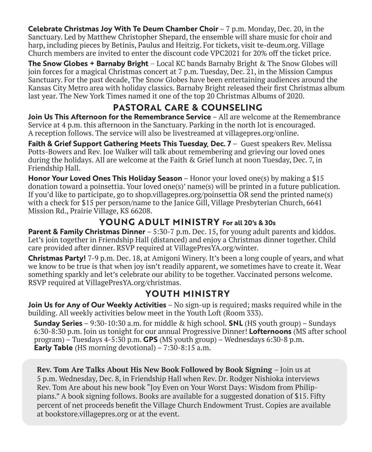**Celebrate Christmas Joy With Te Deum Chamber Choir** – 7 p.m. Monday, Dec. 20, in the Sanctuary. Led by Matthew Christopher Shepard, the ensemble will share music for choir and harp, including pieces by Betinis, Paulus and Heitzig. For tickets, visit te-deum.org. Village Church members are invited to enter the discount code VPC2021 for 20% off the ticket price.

**The Snow Globes + Barnaby Bright** – Local KC bands Barnaby Bright & The Snow Globes will join forces for a magical Christmas concert at 7 p.m. Tuesday, Dec. 21, in the Mission Campus Sanctuary. For the past decade, The Snow Globes have been entertaining audiences around the Kansas City Metro area with holiday classics. Barnaby Bright released their first Christmas album last year. The New York Times named it one of the top 20 Christmas Albums of 2020.

## **PASTORAL CARE & COUNSELING**

**Join Us This Afternoon for the Remembrance Service** – All are welcome at the Remembrance Service at 4 p.m. this afternoon in the Sanctuary. Parking in the north lot is encouraged. A reception follows. The service will also be livestreamed at villagepres.org/online.

**Faith & Grief Support Gathering Meets This Tuesday, Dec. 7** – Guest speakers Rev. Melissa Potts-Bowers and Rev. Joe Walker will talk about remembering and grieving our loved ones during the holidays. All are welcome at the Faith & Grief lunch at noon Tuesday, Dec. 7, in Friendship Hall.

**Honor Your Loved Ones This Holiday Season** – Honor your loved one(s) by making a \$15 donation toward a poinsettia. Your loved one(s)' name(s) will be printed in a future publication. If you'd like to participate, go to shop.villagepres.org/poinsettia OR send the printed name(s) with a check for \$15 per person/name to the Janice Gill, Village Presbyterian Church, 6641 Mission Rd., Prairie Village, KS 66208.

## **YOUNG ADULT MINISTRY For all 20's & 30s**

**Parent & Family Christmas Dinner** – 5:30-7 p.m. Dec. 15, for young adult parents and kiddos. Let's join together in Friendship Hall (distanced) and enjoy a Christmas dinner together. Child care provided after dinner. RSVP required at VillagePresYA.org/winter.

**Christmas Party!** 7-9 p.m. Dec. 18, at Amigoni Winery. It's been a long couple of years, and what we know to be true is that when joy isn't readily apparent, we sometimes have to create it. Wear something sparkly and let's celebrate our ability to be together. Vaccinated persons welcome. RSVP required at VillagePresYA.org/christmas.

## **YOUTH MINISTRY**

**Join Us for Any of Our Weekly Activities** – No sign-up is required; masks required while in the building. All weekly activities below meet in the Youth Loft (Room 333).

**Sunday Series** – 9:30-10:30 a.m. for middle & high school. **SNL** (HS youth group) – Sundays 6:30-8:30 p.m. Join us tonight for our annual Progressive Dinner! **Lofternoons** (MS after school program) – Tuesdays 4-5:30 p.m. **GPS** (MS youth group) – Wednesdays 6:30-8 p.m. **Early Table** (HS morning devotional) – 7:30-8:15 a.m.

**Rev. Tom Are Talks About His New Book Followed by Book Signing** – Join us at 5 p.m. Wednesday, Dec. 8, in Friendship Hall when Rev. Dr. Rodger Nishioka interviews Rev. Tom Are about his new book "Joy Even on Your Worst Days: Wisdom from Philippians." A book signing follows. Books are available for a suggested donation of \$15. Fifty percent of net proceeds benefit the Village Church Endowment Trust. Copies are available at bookstore.villagepres.org or at the event.